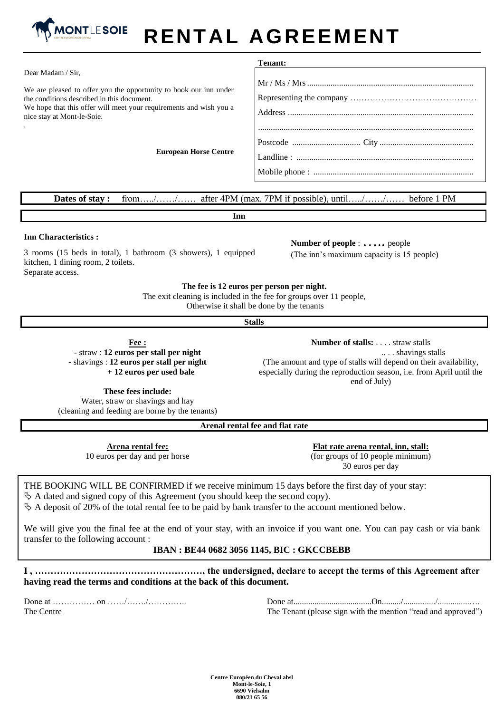

# **RENTAL AGREEMENT**

|                                                                                                                                                                                                                     | Tenant: |
|---------------------------------------------------------------------------------------------------------------------------------------------------------------------------------------------------------------------|---------|
| Dear Madam / Sir,                                                                                                                                                                                                   |         |
| We are pleased to offer you the opportunity to book our inn under<br>the conditions described in this document.<br>We hope that this offer will meet your requirements and wish you a<br>nice stay at Mont-le-Soie. |         |
| <b>European Horse Centre</b>                                                                                                                                                                                        |         |
|                                                                                                                                                                                                                     |         |

### **Dates of stay :** from…../……/…… after 4PM (max. 7PM if possible), until…../……/…… before 1 PM

**Inn**

#### **Inn Characteristics :**

3 rooms (15 beds in total), 1 bathroom (3 showers), 1 equipped kitchen, 1 dining room, 2 toilets. Separate access.

**Number of people** : . . . . . people (The inn's maximum capacity is 15 people)

#### **The fee is 12 euros per person per night.**

The exit cleaning is included in the fee for groups over 11 people, Otherwise it shall be done by the tenants

**Stalls**

**Fee :** - straw : **12 euros per stall per night**  - shavings : **12 euros per stall per night + 12 euros per used bale**

**Number of stalls:** . . . . straw stalls .. . . shavings stalls (The amount and type of stalls will depend on their availability, especially during the reproduction season, i.e. from April until the end of July)

**These fees include:**

Water, straw or shavings and hay (cleaning and feeding are borne by the tenants)

**Arenal rental fee and flat rate**

**Arena rental fee:** 10 euros per day and per horse

**Flat rate arena rental, inn, stall:** (for groups of 10 people minimum) 30 euros per day

# THE BOOKING WILL BE CONFIRMED if we receive minimum 15 days before the first day of your stay:  $\&$  A dated and signed copy of this Agreement (you should keep the second copy).

 $\&$  A deposit of 20% of the total rental fee to be paid by bank transfer to the account mentioned below.

We will give you the final fee at the end of your stay, with an invoice if you want one. You can pay cash or via bank transfer to the following account :

## **IBAN : BE44 0682 3056 1145, BIC : GKCCBEBB**

**I , ………………………………………………, the undersigned, declare to accept the terms of this Agreement after having read the terms and conditions at the back of this document.** 

Done at …………… on ……/……./………….. The Centre

Done at.....................................On........./.............../...............…. The Tenant (please sign with the mention "read and approved")